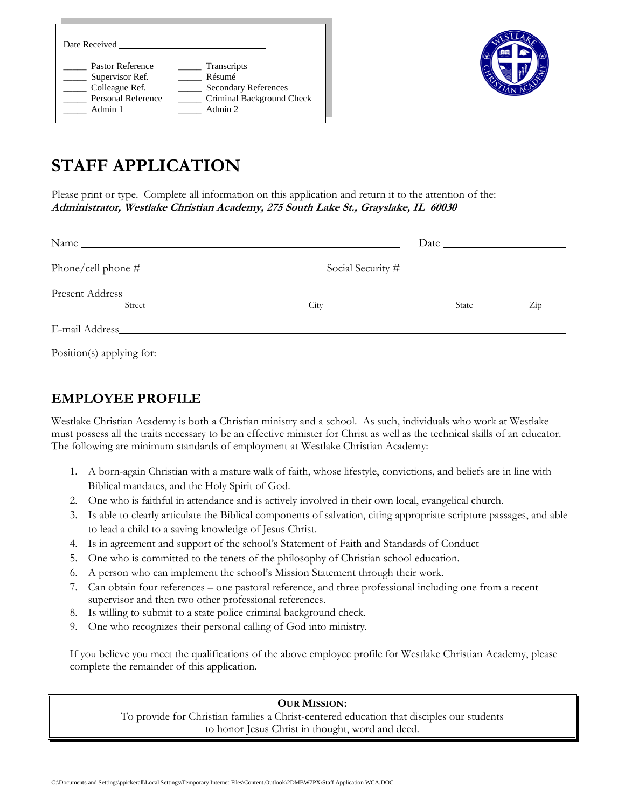| Date Received      |                             |
|--------------------|-----------------------------|
| Pastor Reference   | Transcripts                 |
| Supervisor Ref.    | Résumé                      |
| Colleague Ref.     | <b>Secondary References</b> |
| Personal Reference | Criminal Background Check   |
| Admin 1            | Admin 2                     |



# **STAFF APPLICATION**

Please print or type. Complete all information on this application and return it to the attention of the: **Administrator, Westlake Christian Academy, 275 South Lake St., Grayslake, IL 60030**

| Street | City | State | $\operatorname{Zip}$ |
|--------|------|-------|----------------------|
|        |      |       |                      |
|        |      |       |                      |

## **EMPLOYEE PROFILE**

Westlake Christian Academy is both a Christian ministry and a school. As such, individuals who work at Westlake must possess all the traits necessary to be an effective minister for Christ as well as the technical skills of an educator. The following are minimum standards of employment at Westlake Christian Academy:

- 1. A born-again Christian with a mature walk of faith, whose lifestyle, convictions, and beliefs are in line with Biblical mandates, and the Holy Spirit of God.
- 2. One who is faithful in attendance and is actively involved in their own local, evangelical church.
- 3. Is able to clearly articulate the Biblical components of salvation, citing appropriate scripture passages, and able to lead a child to a saving knowledge of Jesus Christ.
- 4. Is in agreement and support of the school's Statement of Faith and Standards of Conduct
- 5. One who is committed to the tenets of the philosophy of Christian school education.
- 6. A person who can implement the school's Mission Statement through their work.
- 7. Can obtain four references one pastoral reference, and three professional including one from a recent supervisor and then two other professional references.
- 8. Is willing to submit to a state police criminal background check.
- 9. One who recognizes their personal calling of God into ministry.

If you believe you meet the qualifications of the above employee profile for Westlake Christian Academy, please complete the remainder of this application.

#### **OUR MISSION:**

To provide for Christian families a Christ-centered education that disciples our students to honor Jesus Christ in thought, word and deed.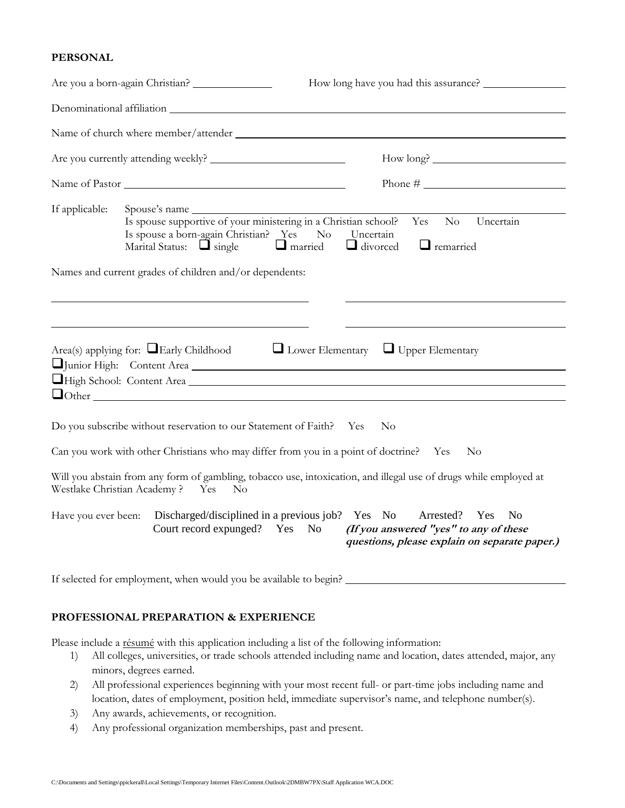#### **PERSONAL**

|                     | Are you a born-again Christian?                                                                                                                                                                                    |
|---------------------|--------------------------------------------------------------------------------------------------------------------------------------------------------------------------------------------------------------------|
|                     |                                                                                                                                                                                                                    |
|                     |                                                                                                                                                                                                                    |
|                     |                                                                                                                                                                                                                    |
|                     | Name of Pastor                                                                                                                                                                                                     |
| If applicable:      | Uncertain<br>Yes<br>$\rm No$<br>Is spouse a born-again Christian? Yes<br>No<br>Uncertain<br>Marital Status: $\Box$ single $\Box$ married<br>$\Box$ divorced<br>$\Box$ remarried                                    |
|                     | Names and current grades of children and/or dependents:                                                                                                                                                            |
|                     |                                                                                                                                                                                                                    |
|                     | Area(s) applying for: $\Box$ Early Childhood $\Box$ Lower Elementary $\Box$ Upper Elementary<br>Junior High: Content Area<br>High School: Content Area                                                             |
|                     | Do you subscribe without reservation to our Statement of Faith? Yes<br>No                                                                                                                                          |
|                     | Can you work with other Christians who may differ from you in a point of doctrine? Yes<br>No                                                                                                                       |
|                     | Will you abstain from any form of gambling, tobacco use, intoxication, and illegal use of drugs while employed at<br>Westlake Christian Academy? Yes<br>$\rm No$                                                   |
| Have you ever been: | Discharged/disciplined in a previous job? Yes No<br>Arrested?<br>N <sub>o</sub><br>Yes<br>Court record expunged? Yes No<br>(If you answered "yes" to any of these<br>questions, please explain on separate paper.) |
|                     | If selected for employment, when would you be available to begin?                                                                                                                                                  |

#### **PROFESSIONAL PREPARATION & EXPERIENCE**

Please include a résumé with this application including a list of the following information:

- 1) All colleges, universities, or trade schools attended including name and location, dates attended, major, any minors, degrees earned.
- 2) All professional experiences beginning with your most recent full- or part-time jobs including name and location, dates of employment, position held, immediate supervisor's name, and telephone number(s).
- 3) Any awards, achievements, or recognition.
- 4) Any professional organization memberships, past and present.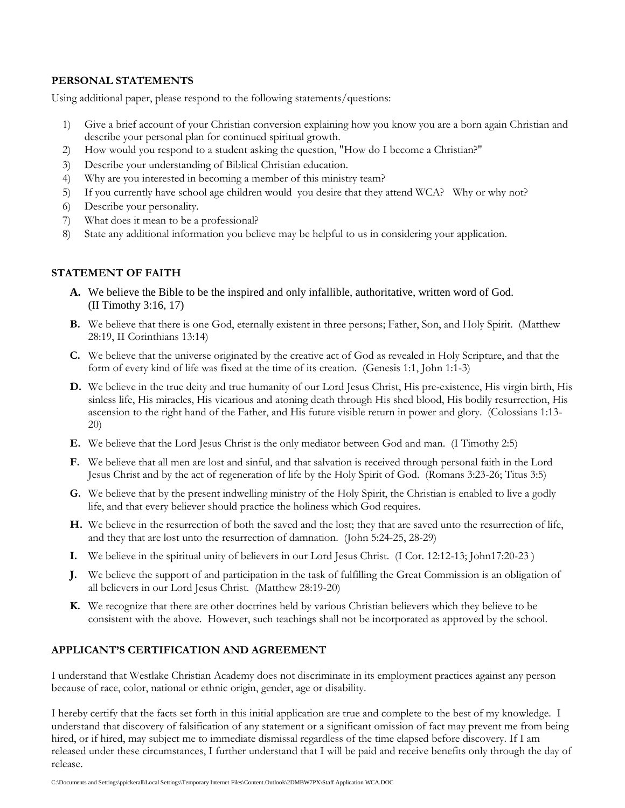#### **PERSONAL STATEMENTS**

Using additional paper, please respond to the following statements/questions:

- 1) Give a brief account of your Christian conversion explaining how you know you are a born again Christian and describe your personal plan for continued spiritual growth.
- 2) How would you respond to a student asking the question, "How do I become a Christian?"
- 3) Describe your understanding of Biblical Christian education.
- 4) Why are you interested in becoming a member of this ministry team?
- 5) If you currently have school age children would you desire that they attend WCA? Why or why not?
- 6) Describe your personality.
- 7) What does it mean to be a professional?
- 8) State any additional information you believe may be helpful to us in considering your application.

### **STATEMENT OF FAITH**

- **A.** We believe the Bible to be the inspired and only infallible, authoritative, written word of God. (II Timothy 3:16, 17)
- **B.** We believe that there is one God, eternally existent in three persons; Father, Son, and Holy Spirit. (Matthew 28:19, II Corinthians 13:14)
- **C.** We believe that the universe originated by the creative act of God as revealed in Holy Scripture, and that the form of every kind of life was fixed at the time of its creation. (Genesis 1:1, John 1:1-3)
- **D.** We believe in the true deity and true humanity of our Lord Jesus Christ, His pre-existence, His virgin birth, His sinless life, His miracles, His vicarious and atoning death through His shed blood, His bodily resurrection, His ascension to the right hand of the Father, and His future visible return in power and glory. (Colossians 1:13- 20)
- **E.** We believe that the Lord Jesus Christ is the only mediator between God and man. (I Timothy 2:5)
- **F.** We believe that all men are lost and sinful, and that salvation is received through personal faith in the Lord Jesus Christ and by the act of regeneration of life by the Holy Spirit of God. (Romans 3:23-26; Titus 3:5)
- **G.** We believe that by the present indwelling ministry of the Holy Spirit, the Christian is enabled to live a godly life, and that every believer should practice the holiness which God requires.
- **H.** We believe in the resurrection of both the saved and the lost; they that are saved unto the resurrection of life, and they that are lost unto the resurrection of damnation. (John 5:24-25, 28-29)
- **I.** We believe in the spiritual unity of believers in our Lord Jesus Christ. (I Cor. 12:12-13; John17:20-23 )
- **J.** We believe the support of and participation in the task of fulfilling the Great Commission is an obligation of all believers in our Lord Jesus Christ. (Matthew 28:19-20)
- **K.** We recognize that there are other doctrines held by various Christian believers which they believe to be consistent with the above. However, such teachings shall not be incorporated as approved by the school.

#### **APPLICANT'S CERTIFICATION AND AGREEMENT**

I understand that Westlake Christian Academy does not discriminate in its employment practices against any person because of race, color, national or ethnic origin, gender, age or disability.

I hereby certify that the facts set forth in this initial application are true and complete to the best of my knowledge. I understand that discovery of falsification of any statement or a significant omission of fact may prevent me from being hired, or if hired, may subject me to immediate dismissal regardless of the time elapsed before discovery. If I am released under these circumstances, I further understand that I will be paid and receive benefits only through the day of release.